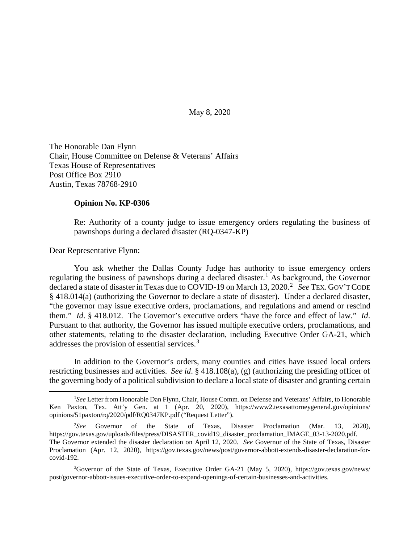May 8, 2020

The Honorable Dan Flynn Chair, House Committee on Defense & Veterans' Affairs Texas House of Representatives Post Office Box 2910 Austin, Texas 78768-2910

## **Opinion No. KP-0306**

Re: Authority of a county judge to issue emergency orders regulating the business of pawnshops during a declared disaster (RQ-0347-KP)

Dear Representative Flynn:

You ask whether the Dallas County Judge has authority to issue emergency orders regulating the business of pawnshops during a declared disaster.<sup>[1](#page-0-0)</sup> As background, the Governor declared a state of disaster in Texas due to COVID-19 on March 13, [2](#page-0-1)020.<sup>2</sup> See TEX. GOV'T CODE § 418.014(a) (authorizing the Governor to declare a state of disaster). Under a declared disaster, "the governor may issue executive orders, proclamations, and regulations and amend or rescind them." *Id*. § 418.012. The Governor's executive orders "have the force and effect of law." *Id*. Pursuant to that authority, the Governor has issued multiple executive orders, proclamations, and other statements, relating to the disaster declaration, including Executive Order GA-21, which addresses the provision of essential services. [3](#page-0-2)

In addition to the Governor's orders, many counties and cities have issued local orders restricting businesses and activities. *See id*. § 418.108(a), (g) (authorizing the presiding officer of the governing body of a political subdivision to declare a local state of disaster and granting certain

<span id="page-0-0"></span> $\frac{1}{1}$ *See* Letter from Honorable Dan Flynn, Chair, House Comm. on Defense and Veterans' Affairs, to Honorable Ken Paxton, Tex. Att'y Gen. at 1 (Apr. 20, 2020), https://www2.texasattorneygeneral.gov/opinions/ opinions/51paxton/rq/2020/pdf/RQ0347KP.pdf ("Request Letter").

<span id="page-0-1"></span> $2$ See Governor of the State of Texas, Disaster Proclamation (Mar. 13, 2020), https://gov.texas.gov/uploads/files/press/DISASTER\_covid19\_disaster\_proclamation\_IMAGE\_03-13-2020.pdf. The Governor extended the disaster declaration on April 12, 2020. *See* Governor of the State of Texas, Disaster Proclamation (Apr. 12, 2020), https://gov.texas.gov/news/post/governor-abbott-extends-disaster-declaration-forcovid-192.

<span id="page-0-2"></span><sup>&</sup>lt;sup>3</sup>Governor of the State of Texas, Executive Order GA-21 (May 5, 2020), https://gov.texas.gov/news/ post/governor-abbott-issues-executive-order-to-expand-openings-of-certain-businesses-and-activities.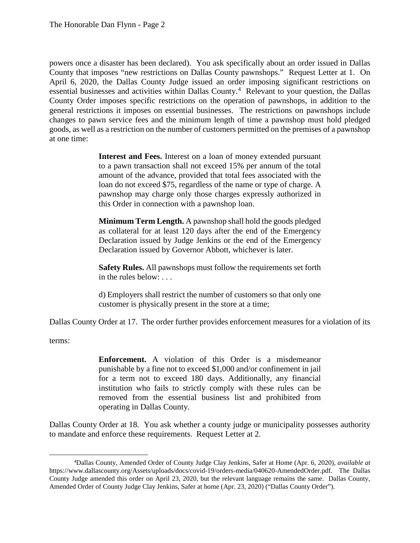powers once a disaster has been declared). You ask specifically about an order issued in Dallas County that imposes "new restrictions on Dallas County pawnshops." Request Letter at 1. On April 6, 2020, the Dallas County Judge issued an order imposing significant restrictions on essential businesses and activities within Dallas County.<sup>[4](#page-1-0)</sup> Relevant to your question, the Dallas County Order imposes specific restrictions on the operation of pawnshops, in addition to the general restrictions it imposes on essential businesses. The restrictions on pawnshops include changes to pawn service fees and the minimum length of time a pawnshop must hold pledged goods, as well as a restriction on the number of customers permitted on the premises of a pawnshop at one time:

> **Interest and Fees.** Interest on a loan of money extended pursuant to a pawn transaction shall not exceed 15% per annum of the total amount of the advance, provided that total fees associated with the loan do not exceed \$75, regardless of the name or type of charge. A pawnshop may charge only those charges expressly authorized in this Order in connection with a pawnshop loan.

> **Minimum Term Length.** A pawnshop shall hold the goods pledged as collateral for at least 120 days after the end of the Emergency Declaration issued by Judge Jenkins or the end of the Emergency Declaration issued by Governor Abbott, whichever is later.

> **Safety Rules.** All pawnshops must follow the requirements set forth in the rules below: . . .

> d) Employers shall restrict the number of customers so that only one customer is physically present in the store at a time;

Dallas County Order at 17. The order further provides enforcement measures for a violation of its

terms:

**Enforcement.** A violation of this Order is a misdemeanor punishable by a fine not to exceed \$1,000 and/or confinement in jail for a term not to exceed 180 days. Additionally, any financial institution who fails to strictly comply with these rules can be removed from the essential business list and prohibited from operating in Dallas County.

Dallas County Order at 18. You ask whether a county judge or municipality possesses authority to mandate and enforce these requirements. Request Letter at 2.

<span id="page-1-0"></span> $\frac{1}{4}$ Dallas County, Amended Order of County Judge Clay Jenkins, Safer at Home (Apr. 6, 2020), *available at* https://www.dallascounty.org/Assets/uploads/docs/covid-19/orders-media/040620-AmendedOrder.pdf. The Dallas County Judge amended this order on April 23, 2020, but the relevant language remains the same. Dallas County, Amended Order of County Judge Clay Jenkins, Safer at home (Apr. 23, 2020) ("Dallas County Order").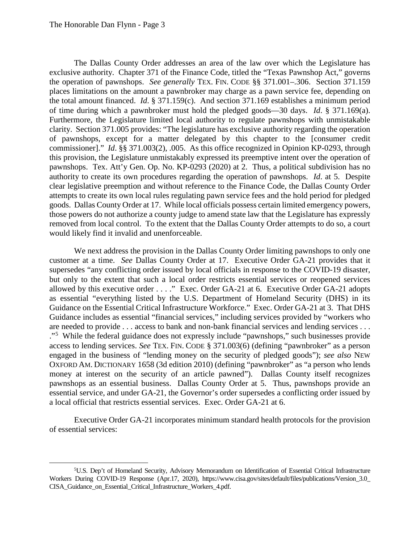The Dallas County Order addresses an area of the law over which the Legislature has exclusive authority. Chapter 371 of the Finance Code, titled the "Texas Pawnshop Act," governs the operation of pawnshops. *See generally* TEX. FIN. CODE §§ 371.001–.306. Section 371.159 places limitations on the amount a pawnbroker may charge as a pawn service fee, depending on the total amount financed. *Id*. § 371.159(c). And section 371.169 establishes a minimum period of time during which a pawnbroker must hold the pledged goods—30 days. *Id*. § 371.169(a). Furthermore, the Legislature limited local authority to regulate pawnshops with unmistakable clarity. Section 371.005 provides: "The legislature has exclusive authority regarding the operation of pawnshops, except for a matter delegated by this chapter to the [consumer credit commissioner]." *Id*. §§ 371.003(2), .005. As this office recognized in Opinion KP-0293, through this provision, the Legislature unmistakably expressed its preemptive intent over the operation of pawnshops. Tex. Att'y Gen. Op. No. KP-0293 (2020) at 2. Thus, a political subdivision has no authority to create its own procedures regarding the operation of pawnshops. *Id*. at 5. Despite clear legislative preemption and without reference to the Finance Code, the Dallas County Order attempts to create its own local rules regulating pawn service fees and the hold period for pledged goods. Dallas County Order at 17. While local officials possess certain limited emergency powers, those powers do not authorize a county judge to amend state law that the Legislature has expressly removed from local control. To the extent that the Dallas County Order attempts to do so, a court would likely find it invalid and unenforceable.

We next address the provision in the Dallas County Order limiting pawnshops to only one customer at a time. *See* Dallas County Order at 17. Executive Order GA-21 provides that it supersedes "any conflicting order issued by local officials in response to the COVID-19 disaster, but only to the extent that such a local order restricts essential services or reopened services allowed by this executive order . . . ." Exec. Order GA-21 at 6. Executive Order GA-21 adopts as essential "everything listed by the U.S. Department of Homeland Security (DHS) in its Guidance on the Essential Critical Infrastructure Workforce." Exec. Order GA-21 at 3. That DHS Guidance includes as essential "financial services," including services provided by "workers who are needed to provide . . . access to bank and non-bank financial services and lending services . . . ."[5](#page-2-0) While the federal guidance does not expressly include "pawnshops," such businesses provide access to lending services. *See* TEX. FIN. CODE § 371.003(6) (defining "pawnbroker" as a person engaged in the business of "lending money on the security of pledged goods"); *see also* NEW OXFORD AM. DICTIONARY 1658 (3d edition 2010) (defining "pawnbroker" as "a person who lends money at interest on the security of an article pawned"). Dallas County itself recognizes pawnshops as an essential business. Dallas County Order at 5. Thus, pawnshops provide an essential service, and under GA-21, the Governor's order supersedes a conflicting order issued by a local official that restricts essential services. Exec. Order GA-21 at 6.

Executive Order GA-21 incorporates minimum standard health protocols for the provision of essential services:

<span id="page-2-0"></span> $\frac{1}{5}$ <sup>5</sup>U.S. Dep't of Homeland Security, Advisory Memorandum on Identification of Essential Critical Infrastructure Workers During COVID-19 Response (Apr.17, 2020), https://www.cisa.gov/sites/default/files/publications/Version\_3.0\_ CISA\_Guidance\_on\_Essential\_Critical\_Infrastructure\_Workers\_4.pdf.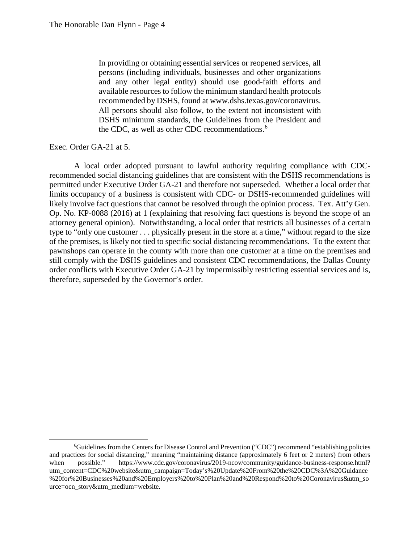In providing or obtaining essential services or reopened services, all persons (including individuals, businesses and other organizations and any other legal entity) should use good-faith efforts and available resources to follow the minimum standard health protocols recommended by DSHS, found at www.dshs.texas.gov/coronavirus. All persons should also follow, to the extent not inconsistent with DSHS minimum standards, the Guidelines from the President and the CDC, as well as other CDC recommendations.<sup>[6](#page-3-0)</sup>

## Exec. Order GA-21 at 5.

A local order adopted pursuant to lawful authority requiring compliance with CDCrecommended social distancing guidelines that are consistent with the DSHS recommendations is permitted under Executive Order GA-21 and therefore not superseded. Whether a local order that limits occupancy of a business is consistent with CDC- or DSHS-recommended guidelines will likely involve fact questions that cannot be resolved through the opinion process. Tex. Att'y Gen. Op. No. KP-0088 (2016) at 1 (explaining that resolving fact questions is beyond the scope of an attorney general opinion). Notwithstanding, a local order that restricts all businesses of a certain type to "only one customer . . . physically present in the store at a time," without regard to the size of the premises, is likely not tied to specific social distancing recommendations. To the extent that pawnshops can operate in the county with more than one customer at a time on the premises and still comply with the DSHS guidelines and consistent CDC recommendations, the Dallas County order conflicts with Executive Order GA-21 by impermissibly restricting essential services and is, therefore, superseded by the Governor's order.

<span id="page-3-0"></span> <sup>6</sup> Guidelines from the Centers for Disease Control and Prevention ("CDC") recommend "establishing policies and practices for social distancing," meaning "maintaining distance (approximately 6 feet or 2 meters) from others when possible." https://www.cdc.gov/coronavirus/2019-ncov/community/guidance-business-response.html? utm\_content=CDC%20website&utm\_campaign=Today's%20Update%20From%20the%20CDC%3A%20Guidance %20for%20Businesses%20and%20Employers%20to%20Plan%20and%20Respond%20to%20Coronavirus&utm\_so urce=ocn\_story&utm\_medium=website.